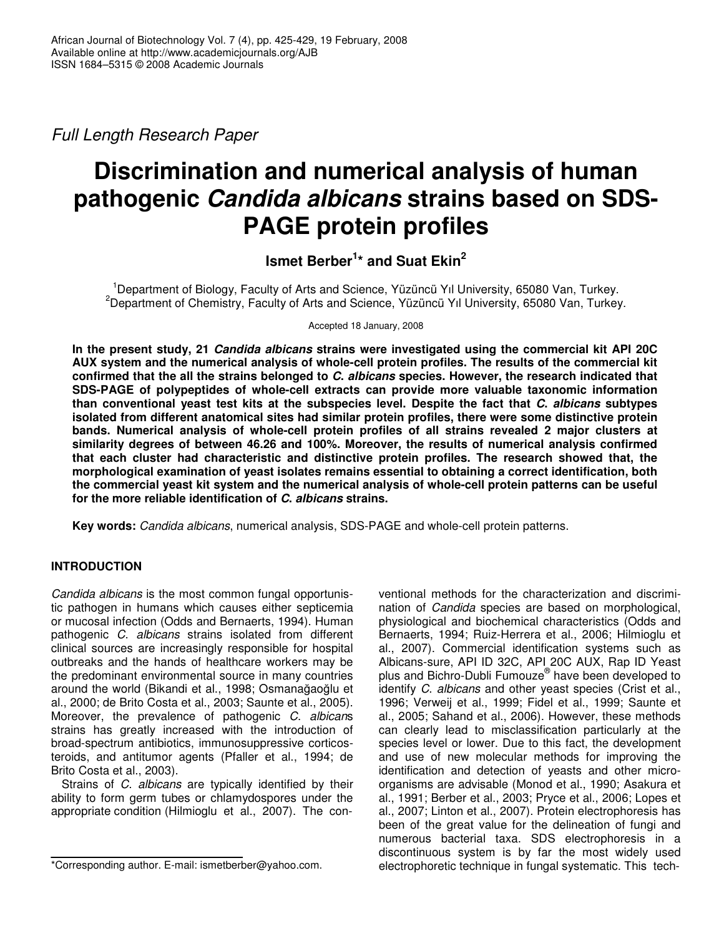*Full Length Research Paper*

# **Discrimination and numerical analysis of human pathogenic** *Candida albicans* **strains based on SDS-PAGE protein profiles**

# **Ismet Berber 1 \* and Suat Ekin 2**

<sup>1</sup>Department of Biology, Faculty of Arts and Science, Yüzüncü Yıl University, 65080 Van, Turkey. <sup>2</sup>Department of Chemistry, Faculty of Arts and Science, Yüzüncü Yıl University, 65080 Van, Turkey.

Accepted 18 January, 2008

**In the present study, 21** *Candida albicans* **strains were investigated using the commercial kit API 20C AUX system and the numerical analysis of whole-cell protein profiles. The results of the commercial kit confirmed that the all the strains belonged to** *C***.** *albicans* **species. However, the research indicated that SDS-PAGE of polypeptides of whole-cell extracts can provide more valuable taxonomic information than conventional yeast test kits at the subspecies level. Despite the fact that** *C***.** *albicans* **subtypes isolated from different anatomical sites had similar protein profiles, there were some distinctive protein bands. Numerical analysis of whole-cell protein profiles of all strains revealed 2 major clusters at similarity degrees of between 46.26 and 100%. Moreover, the results of numerical analysis confirmed that each cluster had characteristic and distinctive protein profiles. The research showed that, the morphological examination of yeast isolates remains essential to obtaining a correct identification, both the commercial yeast kit system and the numerical analysis of whole-cell protein patterns can be useful for the more reliable identification of** *C***.** *albicans* **strains.**

**Key words:** *Candida albicans*, numerical analysis, SDS-PAGE and whole-cell protein patterns.

## **INTRODUCTION**

*Candida albicans* is the most common fungal opportunistic pathogen in humans which causes either septicemia or mucosal infection (Odds and Bernaerts, 1994). Human pathogenic *C*. *albicans* strains isolated from different clinical sources are increasingly responsible for hospital outbreaks and the hands of healthcare workers may be the predominant environmental source in many countries around the world (Bikandi et al., 1998; Osmanağaoğlu et al., 2000; de Brito Costa et al., 2003; Saunte et al., 2005). Moreover, the prevalence of pathogenic *C*. *albican*s strains has greatly increased with the introduction of broad-spectrum antibiotics, immunosuppressive corticosteroids, and antitumor agents (Pfaller et al., 1994; de Brito Costa et al., 2003).

Strains of *C*. *albicans* are typically identified by their ability to form germ tubes or chlamydospores under the appropriate condition (Hilmioglu et al., 2007). The conventional methods for the characterization and discrimination of *Candida* species are based on morphological, physiological and biochemical characteristics (Odds and Bernaerts, 1994; Ruiz-Herrera et al., 2006; Hilmioglu et al., 2007). Commercial identification systems such as Albicans-sure, API ID 32C, API 20C AUX, Rap ID Yeast plus and Bichro-Dubli Fumouze ® have been developed to identify *C*. *albicans* and other yeast species (Crist et al., 1996; Verweij et al., 1999; Fidel et al., 1999; Saunte et al., 2005; Sahand et al., 2006). However, these methods can clearly lead to misclassification particularly at the species level or lower. Due to this fact, the development and use of new molecular methods for improving the identification and detection of yeasts and other microorganisms are advisable (Monod et al., 1990; Asakura et al., 1991; Berber et al., 2003; Pryce et al., 2006; Lopes et al., 2007; Linton et al., 2007). Protein electrophoresis has been of the great value for the delineation of fungi and numerous bacterial taxa. SDS electrophoresis in a discontinuous system is by far the most widely used electrophoretic technique in fungal systematic. This tech-

<sup>\*</sup>Corresponding author. E-mail: ismetberber@yahoo.com.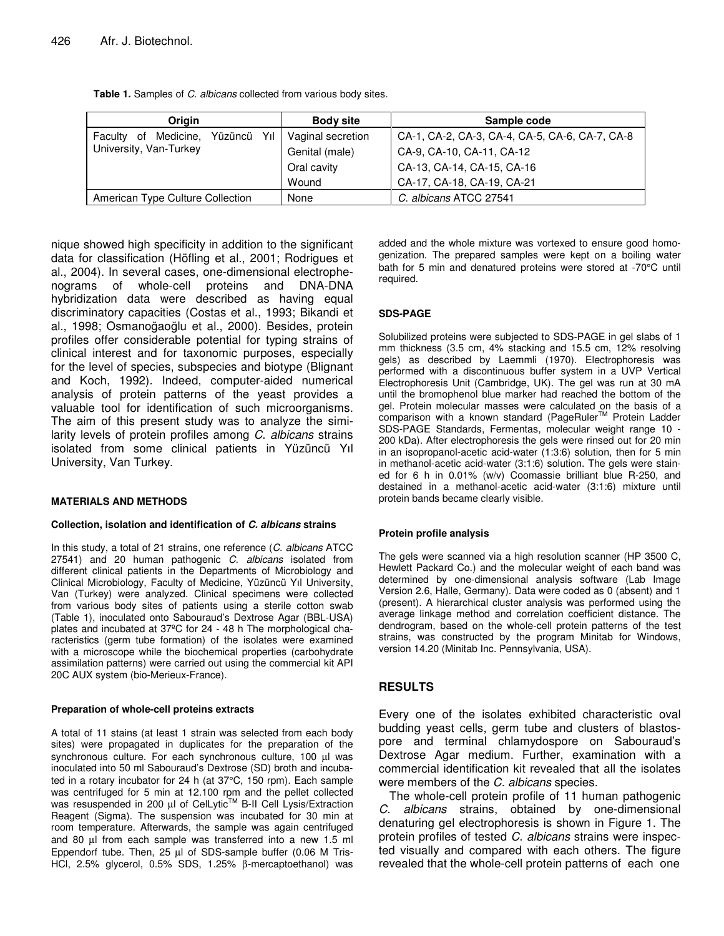| <b>Origin</b>                                                 | <b>Body site</b>  | Sample code                                    |
|---------------------------------------------------------------|-------------------|------------------------------------------------|
| Faculty of Medicine,<br>Yüzüncü Yıl<br>University, Van-Turkey | Vaginal secretion | CA-1, CA-2, CA-3, CA-4, CA-5, CA-6, CA-7, CA-8 |
|                                                               | Genital (male)    | CA-9, CA-10, CA-11, CA-12                      |
|                                                               | Oral cavity       | CA-13, CA-14, CA-15, CA-16                     |
|                                                               | Wound             | CA-17, CA-18, CA-19, CA-21                     |
| American Type Culture Collection                              | None              | C. albicans ATCC 27541                         |

**Table 1.** Samples of *C*. *albicans* collected from various body sites.

nique showed high specificity in addition to the significant data for classification (Höfling et al., 2001; Rodrigues et al., 2004). In several cases, one-dimensional electrophenograms of whole-cell proteins and DNA-DNA hybridization data were described as having equal discriminatory capacities (Costas et al., 1993; Bikandi et al., 1998; Osmanoğaoğlu et al., 2000). Besides, protein profiles offer considerable potential for typing strains of clinical interest and for taxonomic purposes, especially for the level of species, subspecies and biotype (Blignant and Koch, 1992). Indeed, computer-aided numerical analysis of protein patterns of the yeast provides a valuable tool for identification of such microorganisms. The aim of this present study was to analyze the similarity levels of protein profiles among *C*. *albicans* strains isolated from some clinical patients in Yüzüncü Yıl University, Van Turkey.

#### **MATERIALS AND METHODS**

#### **Collection, isolation and identification of** *C. albicans* **strains**

In this study, a total of 21 strains, one reference (*C*. *albicans* ATCC 27541) and 20 human pathogenic *C*. *albicans* isolated from different clinical patients in the Departments of Microbiology and Clinical Microbiology, Faculty of Medicine, Yüzüncü Yıl University, Van (Turkey) were analyzed. Clinical specimens were collected from various body sites of patients using a sterile cotton swab (Table 1), inoculated onto Sabouraud's Dextrose Agar (BBL-USA) plates and incubated at 37ºC for 24 - 48 h The morphological characteristics (germ tube formation) of the isolates were examined with a microscope while the biochemical properties (carbohydrate assimilation patterns) were carried out using the commercial kit API 20C AUX system (bio-Merieux-France).

#### **Preparation of whole-cell proteins extracts**

A total of 11 stains (at least 1 strain was selected from each body sites) were propagated in duplicates for the preparation of the synchronous culture. For each synchronous culture, 100 µl was inoculated into 50 ml Sabouraud's Dextrose (SD) broth and incubated in a rotary incubator for 24 h (at 37°C, 150 rpm). Each sample was centrifuged for 5 min at 12.100 rpm and the pellet collected was resuspended in 200 µl of CelLytic™ B-II Cell Lysis/Extraction Reagent (Sigma). The suspension was incubated for 30 min at room temperature. Afterwards, the sample was again centrifuged and 80 µl from each sample was transferred into a new 1.5 ml Eppendorf tube. Then, 25 µl of SDS-sample buffer (0.06 M Tris-HCl, 2.5% glycerol, 0.5% SDS, 1.25% β-mercaptoethanol) was

added and the whole mixture was vortexed to ensure good homogenization. The prepared samples were kept on a boiling water bath for 5 min and denatured proteins were stored at -70°C until required.

#### **SDS-PAGE**

Solubilized proteins were subjected to SDS-PAGE in gel slabs of 1 mm thickness (3.5 cm, 4% stacking and 15.5 cm, 12% resolving gels) as described by Laemmli (1970). Electrophoresis was performed with a discontinuous buffer system in a UVP Vertical Electrophoresis Unit (Cambridge, UK). The gel was run at 30 mA until the bromophenol blue marker had reached the bottom of the gel. Protein molecular masses were calculated on the basis of a comparison with a known standard (PageRuler™ Protein Ladder SDS-PAGE Standards, Fermentas, molecular weight range 10 - 200 kDa). After electrophoresis the gels were rinsed out for 20 min in an isopropanol-acetic acid-water (1:3:6) solution, then for 5 min in methanol-acetic acid-water (3:1:6) solution. The gels were stained for 6 h in 0.01% (w/v) Coomassie brilliant blue R-250, and destained in a methanol-acetic acid-water (3:1:6) mixture until protein bands became clearly visible.

#### **Protein profile analysis**

The gels were scanned via a high resolution scanner (HP 3500 C, Hewlett Packard Co.) and the molecular weight of each band was determined by one-dimensional analysis software (Lab Image Version 2.6, Halle, Germany). Data were coded as 0 (absent) and 1 (present). A hierarchical cluster analysis was performed using the average linkage method and correlation coefficient distance. The dendrogram, based on the whole-cell protein patterns of the test strains, was constructed by the program Minitab for Windows, version 14.20 (Minitab Inc. Pennsylvania, USA).

#### **RESULTS**

Every one of the isolates exhibited characteristic oval budding yeast cells, germ tube and clusters of blastospore and terminal chlamydospore on Sabouraud's Dextrose Agar medium. Further, examination with a commercial identification kit revealed that all the isolates were members of the *C. albicans* species.

The whole-cell protein profile of 11 human pathogenic *C. albicans* strains, obtained by one-dimensional denaturing gel electrophoresis is shown in Figure 1. The protein profiles of tested *C*. *albicans* strains were inspected visually and compared with each others. The figure revealed that the whole-cell protein patterns of each one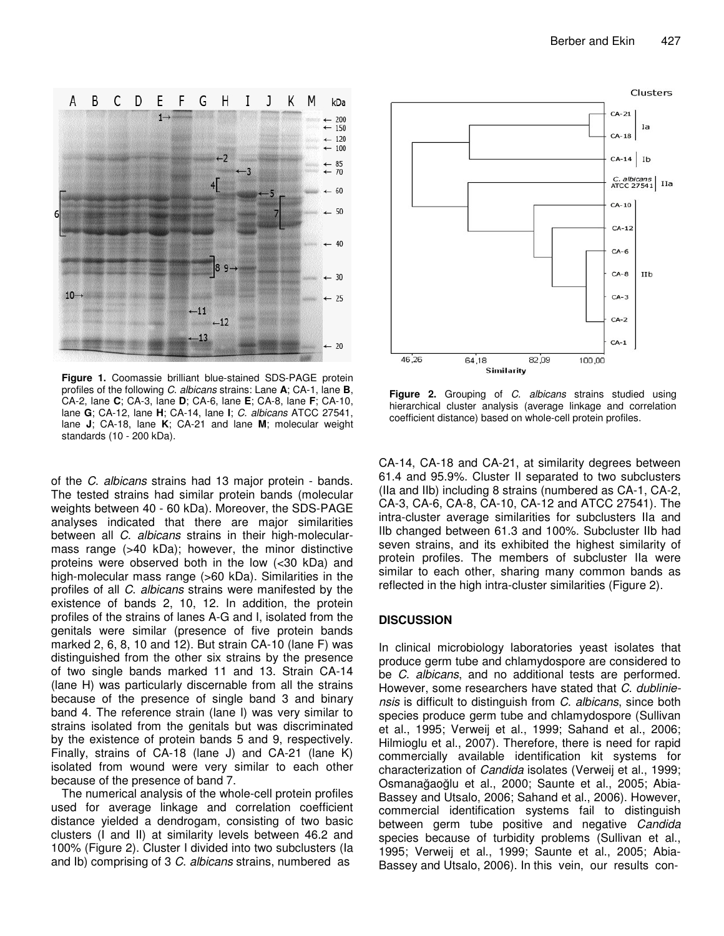

**Figure 1.** Coomassie brilliant blue-stained SDS-PAGE protein profiles of the following *C*. *albicans* strains: Lane **A**; CA-1, lane **B**, CA-2, lane **C**; CA-3, lane **D**; CA-6, lane **E**; CA-8, lane **F**; CA-10, lane **G**; CA-12, lane **H**; CA-14, lane **I**; *C*. *albicans* ATCC 27541, lane **J**; CA-18, lane **K**; CA-21 and lane **M**; molecular weight standards (10 - 200 kDa).

of the *C*. *albicans* strains had 13 major protein - bands. The tested strains had similar protein bands (molecular weights between 40 - 60 kDa). Moreover, the SDS-PAGE analyses indicated that there are major similarities between all *C*. *albicans* strains in their high-molecularmass range (>40 kDa); however, the minor distinctive proteins were observed both in the low (<30 kDa) and high-molecular mass range (>60 kDa). Similarities in the profiles of all *C*. *albicans* strains were manifested by the existence of bands 2, 10, 12. In addition, the protein profiles of the strains of lanes A-G and I, isolated from the genitals were similar (presence of five protein bands marked 2, 6, 8, 10 and 12). But strain CA-10 (lane F) was distinguished from the other six strains by the presence of two single bands marked 11 and 13. Strain CA-14 (lane H) was particularly discernable from all the strains because of the presence of single band 3 and binary band 4. The reference strain (lane I) was very similar to strains isolated from the genitals but was discriminated by the existence of protein bands 5 and 9, respectively. Finally, strains of CA-18 (lane J) and CA-21 (lane K) isolated from wound were very similar to each other because of the presence of band 7.

The numerical analysis of the whole-cell protein profiles used for average linkage and correlation coefficient distance yielded a dendrogam, consisting of two basic clusters (I and II) at similarity levels between 46.2 and 100% (Figure 2). Cluster I divided into two subclusters (Ia and Ib) comprising of 3 *C*. *albicans* strains, numbered as



**Figure 2.** Grouping of *C*. *albicans* strains studied using hierarchical cluster analysis (average linkage and correlation coefficient distance) based on whole-cell protein profiles.

CA-14, CA-18 and CA-21, at similarity degrees between 61.4 and 95.9%. Cluster II separated to two subclusters (IIa and IIb) including 8 strains (numbered as CA-1, CA-2, CA-3, CA-6, CA-8, CA-10, CA-12 and ATCC 27541). The intra-cluster average similarities for subclusters IIa and IIb changed between 61.3 and 100%. Subcluster IIb had seven strains, and its exhibited the highest similarity of protein profiles. The members of subcluster IIa were similar to each other, sharing many common bands as reflected in the high intra-cluster similarities (Figure 2).

#### **DISCUSSION**

In clinical microbiology laboratories yeast isolates that produce germ tube and chlamydospore are considered to be *C*. *albicans*, and no additional tests are performed. However, some researchers have stated that *C*. *dubliniensis* is difficult to distinguish from *C*. *albicans*, since both species produce germ tube and chlamydospore (Sullivan et al., 1995; Verweij et al., 1999; Sahand et al., 2006; Hilmioglu et al., 2007). Therefore, there is need for rapid commercially available identification kit systems for characterization of *Candida* isolates (Verweij et al., 1999; Osmanağaoğlu et al., 2000; Saunte et al., 2005; Abia-Bassey and Utsalo, 2006; Sahand et al., 2006). However, commercial identification systems fail to distinguish between germ tube positive and negative *Candida* species because of turbidity problems (Sullivan et al., 1995; Verweij et al., 1999; Saunte et al., 2005; Abia-Bassey and Utsalo, 2006). In this vein, our results con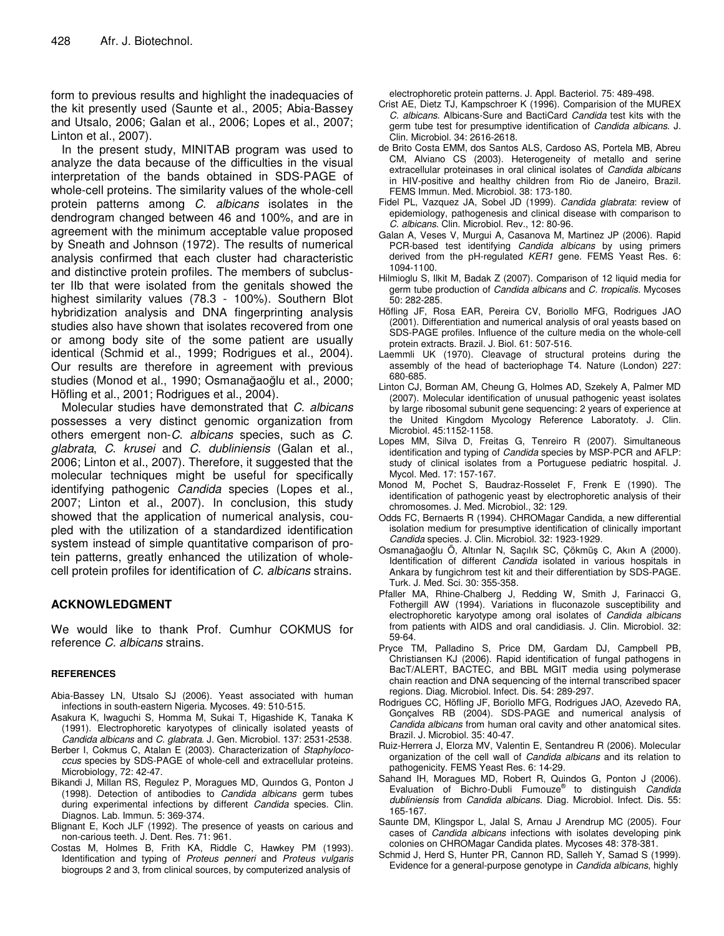form to previous results and highlight the inadequacies of the kit presently used (Saunte et al., 2005; Abia-Bassey and Utsalo, 2006; Galan et al., 2006; Lopes et al., 2007; Linton et al., 2007).

In the present study, MINITAB program was used to analyze the data because of the difficulties in the visual interpretation of the bands obtained in SDS-PAGE of whole-cell proteins. The similarity values of the whole-cell protein patterns among *C*. *albicans* isolates in the dendrogram changed between 46 and 100%, and are in agreement with the minimum acceptable value proposed by Sneath and Johnson (1972). The results of numerical analysis confirmed that each cluster had characteristic and distinctive protein profiles. The members of subcluster IIb that were isolated from the genitals showed the highest similarity values (78.3 - 100%). Southern Blot hybridization analysis and DNA fingerprinting analysis studies also have shown that isolates recovered from one or among body site of the some patient are usually identical (Schmid et al., 1999; Rodrigues et al., 2004). Our results are therefore in agreement with previous studies (Monod et al., 1990; Osmanağaoğlu et al., 2000; Höfling et al., 2001; Rodrigues et al., 2004).

Molecular studies have demonstrated that *C*. *albicans* possesses a very distinct genomic organization from others emergent non-*C*. *albicans* species, such as *C*. *glabrata*, *C*. *krusei* and *C*. *dubliniensis* (Galan et al., 2006; Linton et al., 2007). Therefore, it suggested that the molecular techniques might be useful for specifically identifying pathogenic *Candida* species (Lopes et al., 2007; Linton et al., 2007). In conclusion, this study showed that the application of numerical analysis, coupled with the utilization of a standardized identification system instead of simple quantitative comparison of protein patterns, greatly enhanced the utilization of wholecell protein profiles for identification of *C. albicans* strains.

### **ACKNOWLEDGMENT**

We would like to thank Prof. Cumhur COKMUS for reference *C. albicans* strains.

#### **REFERENCES**

- Abia-Bassey LN, Utsalo SJ (2006). Yeast associated with human infections in south-eastern Nigeria. Mycoses. 49: 510-515.
- Asakura K, Iwaguchi S, Homma M, Sukai T, Higashide K, Tanaka K (1991). Electrophoretic karyotypes of clinically isolated yeasts of *Candida albicans* and *C. glabrata*. J. Gen. Microbiol. 137: 2531-2538.
- Berber I, Cokmus C, Atalan E (2003). Characterization of *Staphylococcus* species by SDS-PAGE of whole-cell and extracellular proteins. Microbiology, 72: 42-47.
- Bikandi J, Millan RS, Regulez P, Moragues MD, Quındos G, Ponton J (1998). Detection of antibodies to *Candida albicans* germ tubes during experimental infections by different *Candida* species. Clin. Diagnos. Lab. Immun. 5: 369-374.
- Blignant E, Koch JLF (1992). The presence of yeasts on carious and non-carious teeth. J. Dent. Res. 71: 961.
- Costas M, Holmes B, Frith KA, Riddle C, Hawkey PM (1993). Identification and typing of *Proteus penneri* and *Proteus vulgaris* biogroups 2 and 3, from clinical sources, by computerized analysis of

electrophoretic protein patterns. J. Appl. Bacteriol. 75: 489-498.

- Crist AE, Dietz TJ, Kampschroer K (1996). Comparision of the MUREX *C. albicans*. Albicans-Sure and BactiCard *Candida* test kits with the germ tube test for presumptive identification of *Candida albicans*. J. Clin. Microbiol. 34: 2616-2618.
- de Brito Costa EMM, dos Santos ALS, Cardoso AS, Portela MB, Abreu CM, Alviano CS (2003). Heterogeneity of metallo and serine extracellular proteinases in oral clinical isolates of *Candida albicans* in HIV-positive and healthy children from Rio de Janeiro, Brazil. FEMS Immun. Med. Microbiol. 38: 173-180.
- Fidel PL, Vazquez JA, Sobel JD (1999). *Candida glabrata*: review of epidemiology, pathogenesis and clinical disease with comparison to *C. albicans*. Clin. Microbiol. Rev., 12: 80-96.
- Galan A, Veses V, Murgui A, Casanova M, Martinez JP (2006). Rapid PCR-based test identifying *Candida albicans* by using primers derived from the pH-regulated *KER1* gene. FEMS Yeast Res. 6: 1094-1100.
- Hilmioglu S, Ilkit M, Badak Z (2007). Comparison of 12 liquid media for germ tube production of *Candida albicans* and *C. tropicalis*. Mycoses 50: 282-285.
- Höfling JF, Rosa EAR, Pereira CV, Boriollo MFG, Rodrigues JAO (2001). Differentiation and numerical analysis of oral yeasts based on SDS-PAGE profiles. Influence of the culture media on the whole-cell protein extracts. Brazil. J. Biol. 61: 507-516.
- Laemmli UK (1970). Cleavage of structural proteins during the assembly of the head of bacteriophage T4. Nature (London) 227: 680-685.
- Linton CJ, Borman AM, Cheung G, Holmes AD, Szekely A, Palmer MD (2007). Molecular identification of unusual pathogenic yeast isolates by large ribosomal subunit gene sequencing: 2 years of experience at the United Kingdom Mycology Reference Laboratoty. J. Clin. Microbiol. 45:1152-1158.
- Lopes MM, Silva D, Freitas G, Tenreiro R (2007). Simultaneous identification and typing of *Candida* species by MSP-PCR and AFLP: study of clinical isolates from a Portuguese pediatric hospital. J. Mycol. Med. 17: 157-167.
- Monod M, Pochet S, Baudraz-Rosselet F, Frenk E (1990). The identification of pathogenic yeast by electrophoretic analysis of their chromosomes. J. Med. Microbiol., 32: 129.
- Odds FC, Bernaerts R (1994). CHROMagar Candida, a new differential isolation medium for presumptive identification of clinically important *Candida* species. J. Clin. Microbiol. 32: 1923-1929.
- Osmanağaoğlu O, Altınlar N, Saçılık SC, Çökmüş C, Akın A (2000). Identification of different *Candida* isolated in various hospitals in Ankara by fungichrom test kit and their differentiation by SDS-PAGE. Turk. J. Med. Sci. 30: 355-358.
- Pfaller MA, Rhine-Chalberg J, Redding W, Smith J, Farinacci G, Fothergill AW (1994). Variations in fluconazole susceptibility and electrophoretic karyotype among oral isolates of *Candida albicans* from patients with AIDS and oral candidiasis. J. Clin. Microbiol. 32: 59-64.
- Pryce TM, Palladino S, Price DM, Gardam DJ, Campbell PB, Christiansen KJ (2006). Rapid identification of fungal pathogens in BacT/ALERT, BACTEC, and BBL MGIT media using polymerase chain reaction and DNA sequencing of the internal transcribed spacer regions. Diag. Microbiol. Infect. Dis. 54: 289-297.
- Rodrigues CC, Höfling JF, Boriollo MFG, Rodrigues JAO, Azevedo RA, Gonçalves RB (2004). SDS-PAGE and numerical analysis of *Candida albicans* from human oral cavity and other anatomical sites. Brazil. J. Microbiol. 35: 40-47.
- Ruiz-Herrera J, Elorza MV, Valentin E, Sentandreu R (2006). Molecular organization of the cell wall of *Candida albicans* and its relation to pathogenicity. FEMS Yeast Res. 6: 14-29.
- Sahand IH, Moragues MD, Robert R, Quindos G, Ponton J (2006). Evaluation of Bichro-Dubli Fumouze ® to distinguish *Candida dubliniensis* from *Candida albicans*. Diag. Microbiol. Infect. Dis. 55: 165-167.
- Saunte DM, Klingspor L, Jalal S, Arnau J Arendrup MC (2005). Four cases of *Candida albicans* infections with isolates developing pink colonies on CHROMagar Candida plates. Mycoses 48: 378-381.
- Schmid J, Herd S, Hunter PR, Cannon RD, Salleh Y, Samad S (1999). Evidence for a general-purpose genotype in *Candida albicans*, highly